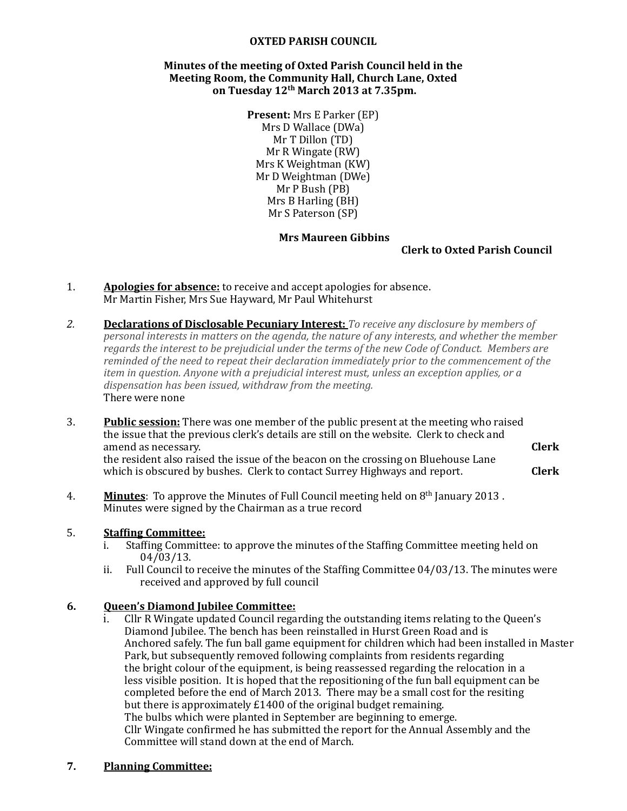### **OXTED PARISH COUNCIL**

### **Minutes of the meeting of Oxted Parish Council held in the** Meeting Room, the Community Hall, Church Lane, Oxted on Tuesday 12<sup>th</sup> March 2013 at 7.35pm.

**Present:** Mrs E Parker (EP) Mrs D Wallace (DWa) Mr T Dillon (TD) Mr R Wingate (RW) Mrs K Weightman (KW) Mr D Weightman (DWe) Mr P Bush (PB) Mrs B Harling (BH) Mr S Paterson (SP)

#### **Mrs Maureen Gibbins**

### **Clerk to Oxted Parish Council**

- 1. **Apologies for absence:** to receive and accept apologies for absence. Mr Martin Fisher, Mrs Sue Hayward, Mr Paul Whitehurst
- **2. <b>Declarations of Disclosable Pecuniary Interest:** To receive any disclosure by members of *personal interests in matters on the agenda, the nature of any interests, and whether the member regards* the interest to be prejudicial under the terms of the new Code of Conduct. Members are *reminded of the need to repeat their declaration immediately prior to the commencement of the item in question. Anyone with a prejudicial interest must, unless an exception applies, or a* dispensation has been *issued,* withdraw from the meeting. There were none
- 3. Public session: There was one member of the public present at the meeting who raised the issue that the previous clerk's details are still on the website. Clerk to check and amend as necessary. **Clerk** the resident also raised the issue of the beacon on the crossing on Bluehouse Lane which is obscured by bushes. Clerk to contact Surrey Highways and report. **Clerk**
- 4. **Minutes**: To approve the Minutes of Full Council meeting held on 8<sup>th</sup> January 2013. Minutes were signed by the Chairman as a true record

### 5. **Staffing Committee:**

- i. Staffing Committee: to approve the minutes of the Staffing Committee meeting held on 04/03/13.
- ii. Full Council to receive the minutes of the Staffing Committee  $04/03/13$ . The minutes were received and approved by full council

### **6. Queen's Diamond Jubilee Committee:**

Cllr R Wingate updated Council regarding the outstanding items relating to the Queen's Diamond Jubilee. The bench has been reinstalled in Hurst Green Road and is Anchored safely. The fun ball game equipment for children which had been installed in Master Park, but subsequently removed following complaints from residents regarding the bright colour of the equipment, is being reassessed regarding the relocation in a less visible position. It is hoped that the repositioning of the fun ball equipment can be completed before the end of March 2013. There may be a small cost for the resiting but there is approximately  $£1400$  of the original budget remaining. The bulbs which were planted in September are beginning to emerge. Cllr Wingate confirmed he has submitted the report for the Annual Assembly and the Committee will stand down at the end of March.

## **7. Planning Committee:**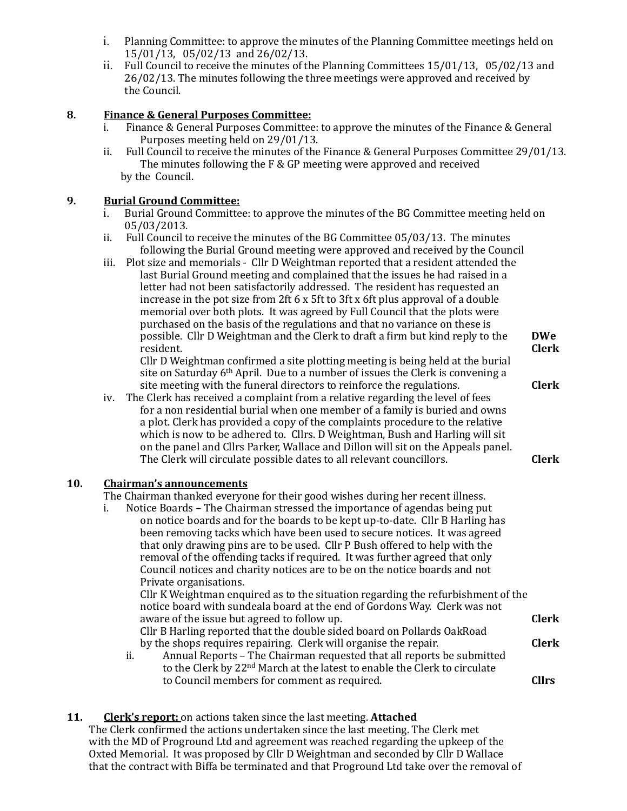- i. Planning Committee: to approve the minutes of the Planning Committee meetings held on 15/01/13, 05/02/13 and 26/02/13.
- ii. Full Council to receive the minutes of the Planning Committees  $15/01/13$ ,  $05/02/13$  and 26/02/13. The minutes following the three meetings were approved and received by the Council.

# **8. Finance & General Purposes Committee:**

- i. Finance & General Purposes Committee: to approve the minutes of the Finance & General Purposes meeting held on 29/01/13.
- ii. Full Council to receive the minutes of the Finance & General Purposes Committee 29/01/13. The minutes following the  $F & G$ P meeting were approved and received by the Council.

### **9. Burial Ground Committee:**

- Burial Ground Committee: to approve the minutes of the BG Committee meeting held on 05/03/2013.
- ii. Full Council to receive the minutes of the BG Committee  $0.05/03/13$ . The minutes following the Burial Ground meeting were approved and received by the Council
- iii. Plot size and memorials Cllr D Weightman reported that a resident attended the last Burial Ground meeting and complained that the issues he had raised in a letter had not been satisfactorily addressed. The resident has requested an increase in the pot size from 2ft  $6 \times 5$ ft to 3ft x 6ft plus approval of a double memorial over both plots. It was agreed by Full Council that the plots were purchased on the basis of the regulations and that no variance on these is possible. Cllr D Weightman and the Clerk to draft a firm but kind reply to the **DWe** resident. **Clerk**

Cllr D Weightman confirmed a site plotting meeting is being held at the burial site on Saturday  $6<sup>th</sup>$  April. Due to a number of issues the Clerk is convening a site meeting with the funeral directors to reinforce the regulations. **Clerk** 

iv. The Clerk has received a complaint from a relative regarding the level of fees for a non residential burial when one member of a family is buried and owns a plot. Clerk has provided a copy of the complaints procedure to the relative which is now to be adhered to. Cllrs. D Weightman, Bush and Harling will sit on the panel and Cllrs Parker, Wallace and Dillon will sit on the Appeals panel. The Clerk will circulate possible dates to all relevant councillors. **Clerk** 

## **10.** Chairman's announcements

The Chairman thanked everyone for their good wishes during her recent illness.

i. Notice Boards – The Chairman stressed the importance of agendas being put on notice boards and for the boards to be kept up-to-date. Cllr B Harling has been removing tacks which have been used to secure notices. It was agreed that only drawing pins are to be used. Cllr P Bush offered to help with the removal of the offending tacks if required. It was further agreed that only Council notices and charity notices are to be on the notice boards and not Private organisations.

Cllr K Weightman enquired as to the situation regarding the refurbishment of the notice board with sundeala board at the end of Gordons Way. Clerk was not aware of the issue but agreed to follow up. **Example 20 Clerk** Cllr B Harling reported that the double sided board on Pollards OakRoad

- by the shops requires repairing. Clerk will organise the repair. **Clerk**
- ii. Annual Reports The Chairman requested that all reports be submitted to the Clerk by  $22<sup>nd</sup>$  March at the latest to enable the Clerk to circulate to Council members for comment as required. **CLL CLL CLL CLL CLL CLL CLL**

## **11.** Clerk's report: on actions taken since the last meeting. Attached

The Clerk confirmed the actions undertaken since the last meeting. The Clerk met with the MD of Proground Ltd and agreement was reached regarding the upkeep of the Oxted Memorial. It was proposed by Cllr D Weightman and seconded by Cllr D Wallace that the contract with Biffa be terminated and that Proground Ltd take over the removal of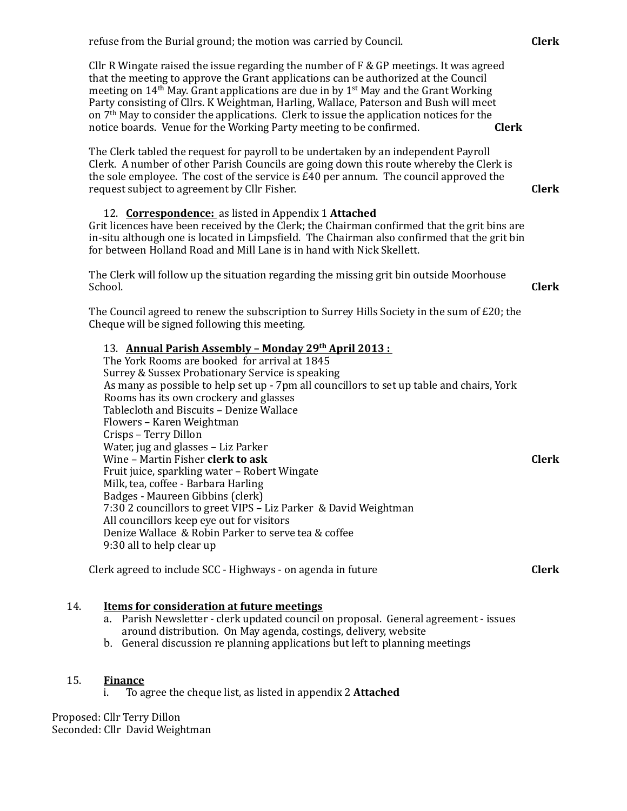|     | refuse from the Burial ground; the motion was carried by Council.                                                                                                                                                                                                                                                                                                                                                                                                                                                                                                  | <b>Clerk</b> |
|-----|--------------------------------------------------------------------------------------------------------------------------------------------------------------------------------------------------------------------------------------------------------------------------------------------------------------------------------------------------------------------------------------------------------------------------------------------------------------------------------------------------------------------------------------------------------------------|--------------|
|     | Cllr R Wingate raised the issue regarding the number of $F \& GP$ meetings. It was agreed<br>that the meeting to approve the Grant applications can be authorized at the Council<br>meeting on $14th$ May. Grant applications are due in by $1st$ May and the Grant Working<br>Party consisting of Cllrs. K Weightman, Harling, Wallace, Paterson and Bush will meet<br>on 7 <sup>th</sup> May to consider the applications. Clerk to issue the application notices for the<br>notice boards. Venue for the Working Party meeting to be confirmed.<br><b>Clerk</b> |              |
|     | The Clerk tabled the request for payroll to be undertaken by an independent Payroll<br>Clerk. A number of other Parish Councils are going down this route whereby the Clerk is<br>the sole employee. The cost of the service is £40 per annum. The council approved the<br>request subject to agreement by Cllr Fisher.                                                                                                                                                                                                                                            | <b>Clerk</b> |
|     | 12. <b>Correspondence:</b> as listed in Appendix 1 Attached<br>Grit licences have been received by the Clerk; the Chairman confirmed that the grit bins are<br>in-situ although one is located in Limpsfield. The Chairman also confirmed that the grit bin<br>for between Holland Road and Mill Lane is in hand with Nick Skellett.                                                                                                                                                                                                                               |              |
|     | The Clerk will follow up the situation regarding the missing grit bin outside Moorhouse<br>School.                                                                                                                                                                                                                                                                                                                                                                                                                                                                 | <b>Clerk</b> |
|     | The Council agreed to renew the subscription to Surrey Hills Society in the sum of $E20$ ; the<br>Cheque will be signed following this meeting.                                                                                                                                                                                                                                                                                                                                                                                                                    |              |
|     | 13. Annual Parish Assembly - Monday 29th April 2013:<br>The York Rooms are booked for arrival at 1845<br>Surrey & Sussex Probationary Service is speaking<br>As many as possible to help set up - 7pm all councillors to set up table and chairs, York<br>Rooms has its own crockery and glasses<br>Tablecloth and Biscuits - Denize Wallace<br>Flowers - Karen Weightman<br>Crisps - Terry Dillon                                                                                                                                                                 |              |
|     | Water, jug and glasses - Liz Parker<br>Wine - Martin Fisher clerk to ask<br>Fruit juice, sparkling water - Robert Wingate<br>Milk, tea, coffee - Barbara Harling<br>Badges - Maureen Gibbins (clerk)<br>7:30 2 councillors to greet VIPS - Liz Parker & David Weightman<br>All councillors keep eye out for visitors<br>Denize Wallace & Robin Parker to serve tea & coffee<br>9:30 all to help clear up                                                                                                                                                           | <b>Clerk</b> |
|     | Clerk agreed to include SCC - Highways - on agenda in future                                                                                                                                                                                                                                                                                                                                                                                                                                                                                                       | <b>Clerk</b> |
| 14. | <b>Items for consideration at future meetings</b><br>Parish Newsletter - clerk updated council on proposal. General agreement - issues<br>a.<br>around distribution. On May agenda, costings, delivery, website<br>b. General discussion re planning applications but left to planning meetings                                                                                                                                                                                                                                                                    |              |

## 15. **Finance**

i. To agree the cheque list, as listed in appendix 2 **Attached** 

Proposed: Cllr Terry Dillon Seconded: Cllr David Weightman